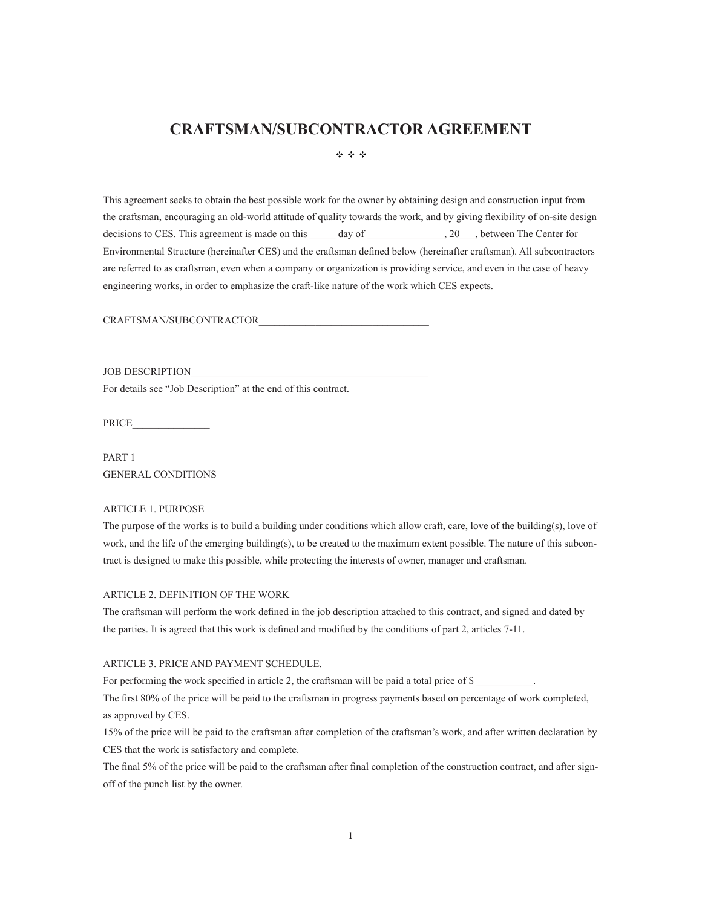# **CRAFTSMAN/SUBCONTRACTOR AGREEMENT**

 $\Phi_1$  ,  $\Phi_2$  ,  $\Phi_3$ 

This agreement seeks to obtain the best possible work for the owner by obtaining design and construction input from the craftsman, encouraging an old-world attitude of quality towards the work, and by giving flexibility of on-site design decisions to CES. This agreement is made on this \_\_\_\_\_ day of \_\_\_\_\_\_\_\_\_\_\_\_\_, 20\_\_\_, between The Center for Environmental Structure (hereinafter CES) and the craftsman defined below (hereinafter craftsman). All subcontractors are referred to as craftsman, even when a company or organization is providing service, and even in the case of heavy engineering works, in order to emphasize the craft-like nature of the work which CES expects.

CRAFTSMAN/SUBCONTRACTOR

JOB DESCRIPTION For details see "Job Description" at the end of this contract.

PRICE\_\_\_\_\_\_\_\_\_\_\_\_\_\_\_

PART 1 GENERAL CONDITIONS

## ARTICLE 1. PURPOSE

The purpose of the works is to build a building under conditions which allow craft, care, love of the building(s), love of work, and the life of the emerging building(s), to be created to the maximum extent possible. The nature of this subcontract is designed to make this possible, while protecting the interests of owner, manager and craftsman.

#### ARTICLE 2. DEFINITION OF THE WORK

The craftsman will perform the work defined in the job description attached to this contract, and signed and dated by the parties. It is agreed that this work is defined and modified by the conditions of part 2, articles 7-11.

## ARTICLE 3. PRICE AND PAYMENT SCHEDULE.

For performing the work specified in article 2, the craftsman will be paid a total price of \$

The first 80% of the price will be paid to the craftsman in progress payments based on percentage of work completed, as approved by CES.

15% of the price will be paid to the craftsman after completion of the craftsman's work, and after written declaration by CES that the work is satisfactory and complete.

The final 5% of the price will be paid to the craftsman after final completion of the construction contract, and after signoff of the punch list by the owner.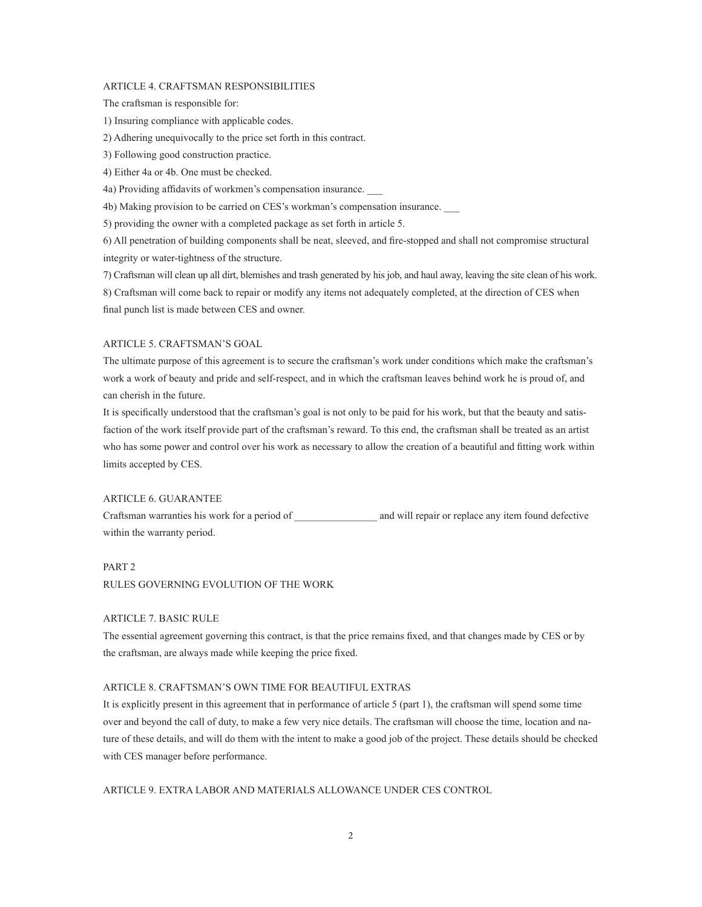#### ARTICLE 4. CRAFTSMAN RESPONSIBILITIES

The craftsman is responsible for:

1) Insuring compliance with applicable codes.

2) Adhering unequivocally to the price set forth in this contract.

3) Following good construction practice.

4) Either 4a or 4b. One must be checked.

4a) Providing affidavits of workmen's compensation insurance.

4b) Making provision to be carried on CES's workman's compensation insurance.

5) providing the owner with a completed package as set forth in article 5.

6) All penetration of building components shall be neat, sleeved, and fire-stopped and shall not compromise structural integrity or water-tightness of the structure.

7) Craftsman will clean up all dirt, blemishes and trash generated by his job, and haul away, leaving the site clean of his work. 8) Craftsman will come back to repair or modify any items not adequately completed, at the direction of CES when final punch list is made between CES and owner.

### ARTICLE 5. CRAFTSMAN'S GOAL

The ultimate purpose of this agreement is to secure the craftsman's work under conditions which make the craftsman's work a work of beauty and pride and self-respect, and in which the craftsman leaves behind work he is proud of, and can cherish in the future.

It is specifically understood that the craftsman's goal is not only to be paid for his work, but that the beauty and satisfaction of the work itself provide part of the craftsman's reward. To this end, the craftsman shall be treated as an artist who has some power and control over his work as necessary to allow the creation of a beautiful and fitting work within limits accepted by CES.

### ARTICLE 6. GUARANTEE

Craftsman warranties his work for a period of \_\_\_\_\_\_\_\_\_\_\_\_\_\_\_\_ and will repair or replace any item found defective within the warranty period.

#### PART 2

RULES GOVERNING EVOLUTION OF THE WORK

## ARTICLE 7. BASIC RULE

The essential agreement governing this contract, is that the price remains fixed, and that changes made by CES or by the craftsman, are always made while keeping the price fixed.

## ARTICLE 8. CRAFTSMAN'S OWN TIME FOR BEAUTIFUL EXTRAS

It is explicitly present in this agreement that in performance of article 5 (part 1), the craftsman will spend some time over and beyond the call of duty, to make a few very nice details. The craftsman will choose the time, location and nature of these details, and will do them with the intent to make a good job of the project. These details should be checked with CES manager before performance.

#### ARTICLE 9. EXTRA LABOR AND MATERIALS ALLOWANCE UNDER CES CONTROL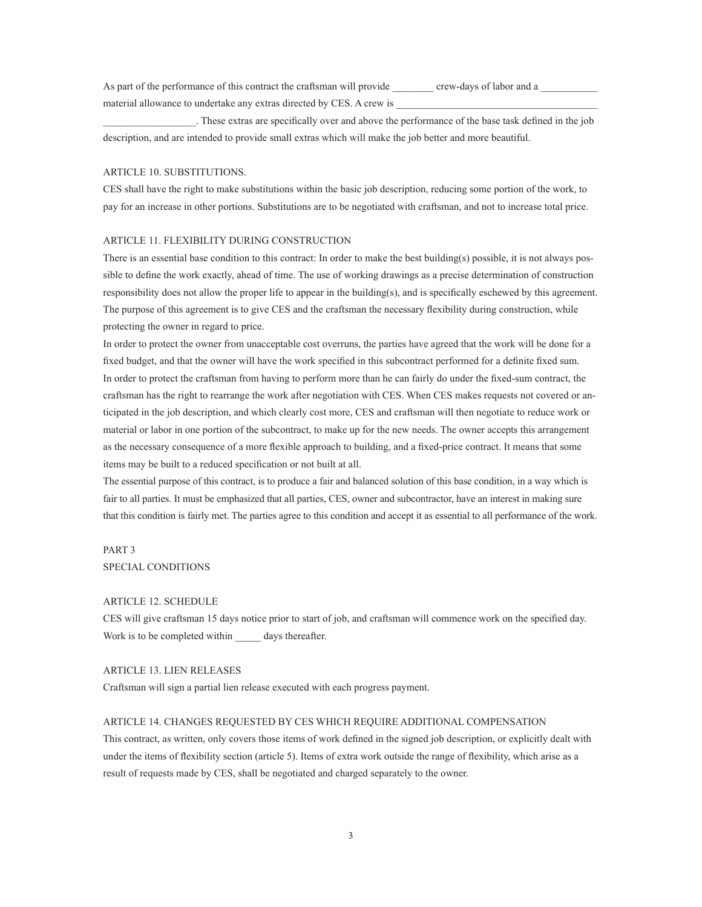As part of the performance of this contract the craftsman will provide crew-days of labor and a material allowance to undertake any extras directed by CES. A crew is

\_\_\_\_\_\_\_\_\_\_\_\_\_\_\_\_\_\_. These extras are specifically over and above the performance of the base task defined in the job description, and are intended to provide small extras which will make the job better and more beautiful.

#### ARTICLE 10. SUBSTITUTIONS.

CES shall have the right to make substitutions within the basic job description, reducing some portion of the work, to pay for an increase in other portions. Substitutions are to be negotiated with craftsman, and not to increase total price.

#### ARTICLE 11. FLEXIBILITY DURING CONSTRUCTION

There is an essential base condition to this contract: In order to make the best building(s) possible, it is not always possible to define the work exactly, ahead of time. The use of working drawings as a precise determination of construction responsibility does not allow the proper life to appear in the building(s), and is specifically eschewed by this agreement. The purpose of this agreement is to give CES and the craftsman the necessary flexibility during construction, while protecting the owner in regard to price.

In order to protect the owner from unacceptable cost overruns, the parties have agreed that the work will be done for a fixed budget, and that the owner will have the work specified in this subcontract performed for a definite fixed sum. In order to protect the craftsman from having to perform more than he can fairly do under the fixed-sum contract, the craftsman has the right to rearrange the work after negotiation with CES. When CES makes requests not covered or anticipated in the job description, and which clearly cost more, CES and craftsman will then negotiate to reduce work or material or labor in one portion of the subcontract, to make up for the new needs. The owner accepts this arrangement as the necessary consequence of a more flexible approach to building, and a fixed-price contract. It means that some items may be built to a reduced specification or not built at all.

The essential purpose of this contract, is to produce a fair and balanced solution of this base condition, in a way which is fair to all parties. It must be emphasized that all parties, CES, owner and subcontractor, have an interest in making sure that this condition is fairly met. The parties agree to this condition and accept it as essential to all performance of the work.

# PART 3 SPECIAL CONDITIONS

## ARTICLE 12. SCHEDULE

CES will give craftsman 15 days notice prior to start of job, and craftsman will commence work on the specified day. Work is to be completed within days thereafter.

#### ARTICLE 13. LIEN RELEASES

Craftsman will sign a partial lien release executed with each progress payment.

#### ARTICLE 14. CHANGES REQUESTED BY CES WHICH REQUIRE ADDITIONAL COMPENSATION

This contract, as written, only covers those items of work defined in the signed job description, or explicitly dealt with under the items of flexibility section (article 5). Items of extra work outside the range of flexibility, which arise as a result of requests made by CES, shall be negotiated and charged separately to the owner.